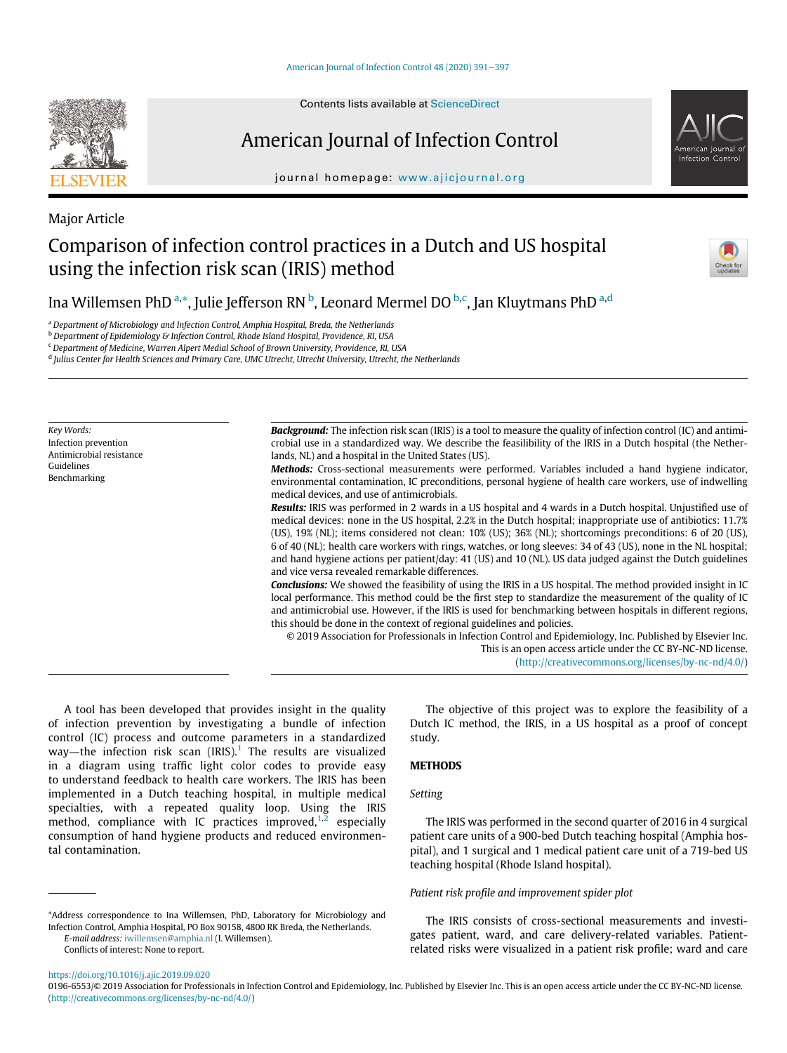

# American Journal of Infection Control

journal homepage: [www.ajicjournal.org](http://www.ajicjournal.org)



# Major Article

# Comparison of infection control practices in a Dutch and US hospital using the infection risk scan (IRIS) method



In[a](#page-0-0) Willemsen PhD <sup>a,\*</sup>, Julie Jefferson RN <sup>[b](#page-0-1)</sup>, Leonard Mermel DO <sup>[b,](#page-0-1)[c](#page-0-2)</sup>, Jan Kluytmans PhD <sup>[a,](#page-0-0)[d](#page-0-3)</sup>

<span id="page-0-0"></span><sup>a</sup> Department of Microbiology and Infection Control, Amphia Hospital, Breda, the Netherlands

<span id="page-0-1"></span>**b** Department of Epidemiology & Infection Control, Rhode Island Hospital, Providence, RI, USA

<span id="page-0-2"></span><sup>c</sup> Department of Medicine, Warren Alpert Medial School of Brown University, Providence, RI, USA

<span id="page-0-3"></span><sup>d</sup> Julius Center for Health Sciences and Primary Care, UMC Utrecht, Utrecht University, Utrecht, the Netherlands

Key Words: Infection prevention Antimicrobial resistance Guidelines Benchmarking

**Background:** The infection risk scan (IRIS) is a tool to measure the quality of infection control (IC) and antimicrobial use in a standardized way. We describe the feasilibility of the IRIS in a Dutch hospital (the Netherlands, NL) and a hospital in the United States (US).

Methods: Cross-sectional measurements were performed. Variables included a hand hygiene indicator, environmental contamination, IC preconditions, personal hygiene of health care workers, use of indwelling medical devices, and use of antimicrobials.

Results: IRIS was performed in 2 wards in a US hospital and 4 wards in a Dutch hospital. Unjustified use of medical devices: none in the US hospital, 2.2% in the Dutch hospital; inappropriate use of antibiotics: 11.7% (US), 19% (NL); items considered not clean: 10% (US); 36% (NL); shortcomings preconditions: 6 of 20 (US), 6 of 40 (NL); health care workers with rings, watches, or long sleeves: 34 of 43 (US), none in the NL hospital; and hand hygiene actions per patient/day: 41 (US) and 10 (NL). US data judged against the Dutch guidelines and vice versa revealed remarkable differences.

Conclusions: We showed the feasibility of using the IRIS in a US hospital. The method provided insight in IC local performance. This method could be the first step to standardize the measurement of the quality of IC and antimicrobial use. However, if the IRIS is used for benchmarking between hospitals in different regions, this should be done in the context of regional guidelines and policies.

© 2019 Association for Professionals in Infection Control and Epidemiology, Inc. Published by Elsevier Inc. This is an open access article under the CC BY-NC-ND license. [\(http://creativecommons.org/licenses/by-nc-nd/4.0/](http://creativecommons.org/licenses/by-nc-nd/4.0/))

A tool has been developed that provides insight in the quality of infection prevention by investigating a bundle of infection control (IC) process and outcome parameters in a standardized way—the infection risk scan (IRIS).<sup>[1](#page-6-0)</sup> The results are visualized in a diagram using traffic light color codes to provide easy to understand feedback to health care workers. The IRIS has been implemented in a Dutch teaching hospital, in multiple medical specialties, with a repeated quality loop. Using the IRIS method, compliance with IC practices improved, $1,2$  $1,2$  $1,2$  especially consumption of hand hygiene products and reduced environmental contamination.

\*Address correspondence to Ina Willemsen, PhD, Laboratory for Microbiology and Infection Control, Amphia Hospital, PO Box 90158, 4800 RK Breda, the Netherlands.

E-mail address: [iwillemsen@amphia.nl](mailto:iwillemsen@amphia.nl) (I. Willemsen).

Conflicts of interest: None to report.

The objective of this project was to explore the feasibility of a Dutch IC method, the IRIS, in a US hospital as a proof of concept study.

# **METHODS**

# Setting

The IRIS was performed in the second quarter of 2016 in 4 surgical patient care units of a 900-bed Dutch teaching hospital (Amphia hospital), and 1 surgical and 1 medical patient care unit of a 719-bed US teaching hospital (Rhode Island hospital).

# Patient risk profile and improvement spider plot

The IRIS consists of cross-sectional measurements and investigates patient, ward, and care delivery-related variables. Patientrelated risks were visualized in a patient risk profile; ward and care

<https://doi.org/10.1016/j.ajic.2019.09.020>

<sup>0196-6553/© 2019</sup> Association for Professionals in Infection Control and Epidemiology, Inc. Published by Elsevier Inc. This is an open access article under the CC BY-NC-ND license. [\(http://creativecommons.org/licenses/by-nc-nd/4.0/\)](http://creativecommons.org/licenses/by-nc-nd/4.0/)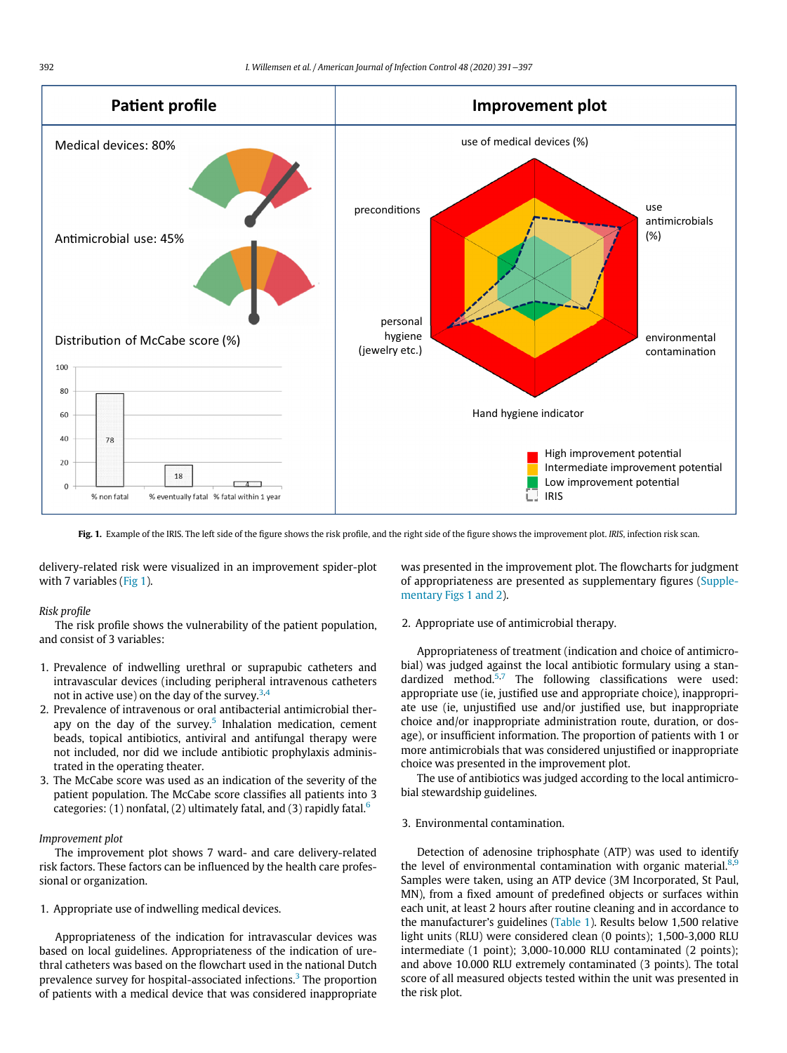<span id="page-1-0"></span>

Fig. 1. Example of the IRIS. The left side of the figure shows the risk profile, and the right side of the figure shows the improvement plot. IRIS, infection risk scan.

delivery-related risk were visualized in an improvement spider-plot with 7 variables ([Fig 1\)](#page-1-0).

#### Risk profile

The risk profile shows the vulnerability of the patient population, and consist of 3 variables:

- 1. Prevalence of indwelling urethral or suprapubic catheters and intravascular devices (including peripheral intravenous catheters not in active use) on the day of the survey. $3,4$  $3,4$
- 2. Prevalence of intravenous or oral antibacterial antimicrobial therapy on the day of the survey. $5$  Inhalation medication, cement beads, topical antibiotics, antiviral and antifungal therapy were not included, nor did we include antibiotic prophylaxis administrated in the operating theater.
- 3. The McCabe score was used as an indication of the severity of the patient population. The McCabe score classifies all patients into 3 categories: (1) nonfatal, (2) ultimately fatal, and (3) rapidly fatal.<sup>[6](#page-6-5)</sup>

### Improvement plot

The improvement plot shows 7 ward- and care delivery-related risk factors. These factors can be influenced by the health care professional or organization.

1. Appropriate use of indwelling medical devices.

Appropriateness of the indication for intravascular devices was based on local guidelines. Appropriateness of the indication of urethral catheters was based on the flowchart used in the national Dutch prevalence survey for hospital-associated infections.<sup>[3](#page-6-2)</sup> The proportion of patients with a medical device that was considered inappropriate

was presented in the improvement plot. The flowcharts for judgment of appropriateness are presented as supplementary figures [\(Supple](#page-6-6)[mentary Figs 1 and 2](#page-6-6)).

2. Appropriate use of antimicrobial therapy.

Appropriateness of treatment (indication and choice of antimicrobial) was judged against the local antibiotic formulary using a stan-dardized method.<sup>[5](#page-6-4)[,7](#page-6-7)</sup> The following classifications were used: appropriate use (ie, justified use and appropriate choice), inappropriate use (ie, unjustified use and/or justified use, but inappropriate choice and/or inappropriate administration route, duration, or dosage), or insufficient information. The proportion of patients with 1 or more antimicrobials that was considered unjustified or inappropriate choice was presented in the improvement plot.

The use of antibiotics was judged according to the local antimicrobial stewardship guidelines.

### 3. Environmental contamination.

Detection of adenosine triphosphate (ATP) was used to identify the level of environmental contamination with organic material. $8,9$  $8,9$  $8,9$ Samples were taken, using an ATP device (3M Incorporated, St Paul, MN), from a fixed amount of predefined objects or surfaces within each unit, at least 2 hours after routine cleaning and in accordance to the manufacturer's guidelines [\(Table 1\)](#page-2-0). Results below 1,500 relative light units (RLU) were considered clean (0 points); 1,500-3,000 RLU intermediate (1 point); 3,000-10.000 RLU contaminated (2 points); and above 10.000 RLU extremely contaminated (3 points). The total score of all measured objects tested within the unit was presented in the risk plot.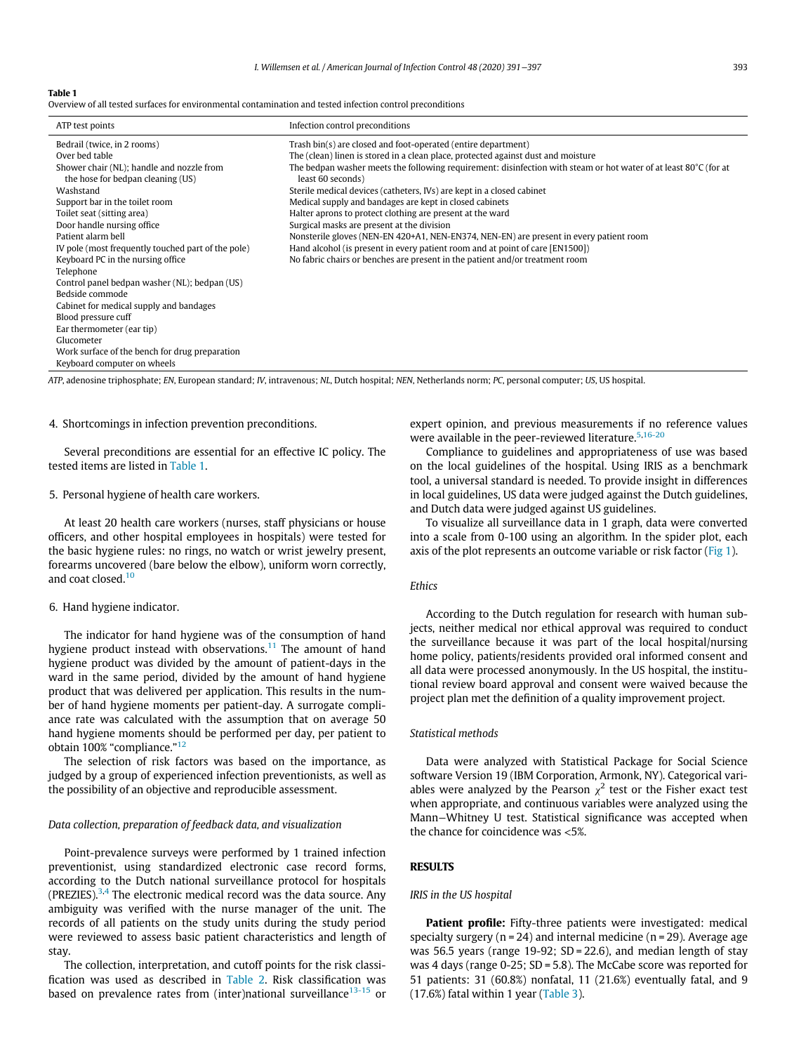#### <span id="page-2-0"></span>Table 1

| Overview of all tested surfaces for environmental contamination and tested infection control preconditions |  |
|------------------------------------------------------------------------------------------------------------|--|
|------------------------------------------------------------------------------------------------------------|--|

| Bedrail (twice, in 2 rooms)<br>Trash bin(s) are closed and foot-operated (entire department)<br>Over bed table<br>The (clean) linen is stored in a clean place, protected against dust and moisture                                                                                                                                                                                                                                                                                                                                                                                                                                                                                                                                                                                                                                                                                                                                                                                                                                                                                                                                                                                                                                                    |
|--------------------------------------------------------------------------------------------------------------------------------------------------------------------------------------------------------------------------------------------------------------------------------------------------------------------------------------------------------------------------------------------------------------------------------------------------------------------------------------------------------------------------------------------------------------------------------------------------------------------------------------------------------------------------------------------------------------------------------------------------------------------------------------------------------------------------------------------------------------------------------------------------------------------------------------------------------------------------------------------------------------------------------------------------------------------------------------------------------------------------------------------------------------------------------------------------------------------------------------------------------|
| The bedpan washer meets the following requirement: disinfection with steam or hot water of at least $80^{\circ}$ C (for at<br>Shower chair (NL); handle and nozzle from<br>the hose for bedpan cleaning (US)<br>least 60 seconds)<br>Washstand<br>Sterile medical devices (catheters, IVs) are kept in a closed cabinet<br>Medical supply and bandages are kept in closed cabinets<br>Support bar in the toilet room<br>Halter aprons to protect clothing are present at the ward<br>Toilet seat (sitting area)<br>Door handle nursing office<br>Surgical masks are present at the division<br>Patient alarm bell<br>Nonsterile gloves (NEN-EN 420+A1, NEN-EN374, NEN-EN) are present in every patient room<br>IV pole (most frequently touched part of the pole)<br>Hand alcohol (is present in every patient room and at point of care [EN1500])<br>No fabric chairs or benches are present in the patient and/or treatment room<br>Keyboard PC in the nursing office<br>Telephone<br>Control panel bedpan washer (NL); bedpan (US)<br>Bedside commode<br>Cabinet for medical supply and bandages<br>Blood pressure cuff<br>Ear thermometer (ear tip)<br>Glucometer<br>Work surface of the bench for drug preparation<br>Keyboard computer on wheels |

ATP, adenosine triphosphate; EN, European standard; IV, intravenous; NL, Dutch hospital; NEN, Netherlands norm; PC, personal computer; US, US hospital.

#### 4. Shortcomings in infection prevention preconditions.

Several preconditions are essential for an effective IC policy. The tested items are listed in [Table 1](#page-2-0).

#### 5. Personal hygiene of health care workers.

At least 20 health care workers (nurses, staff physicians or house officers, and other hospital employees in hospitals) were tested for the basic hygiene rules: no rings, no watch or wrist jewelry present, forearms uncovered (bare below the elbow), uniform worn correctly, and coat closed.<sup>[10](#page-6-10)</sup>

#### 6. Hand hygiene indicator.

The indicator for hand hygiene was of the consumption of hand hygiene product instead with observations.<sup>[11](#page-6-11)</sup> The amount of hand hygiene product was divided by the amount of patient-days in the ward in the same period, divided by the amount of hand hygiene product that was delivered per application. This results in the number of hand hygiene moments per patient-day. A surrogate compliance rate was calculated with the assumption that on average 50 hand hygiene moments should be performed per day, per patient to obtain 100% "compliance."<sup>[12](#page-6-12)</sup>

The selection of risk factors was based on the importance, as judged by a group of experienced infection preventionists, as well as the possibility of an objective and reproducible assessment.

#### Data collection, preparation of feedback data, and visualization

Point-prevalence surveys were performed by 1 trained infection preventionist, using standardized electronic case record forms, according to the Dutch national surveillance protocol for hospitals (PREZIES).<sup>[3](#page-6-2),[4](#page-6-3)</sup> The electronic medical record was the data source. Any ambiguity was verified with the nurse manager of the unit. The records of all patients on the study units during the study period were reviewed to assess basic patient characteristics and length of stay.

The collection, interpretation, and cutoff points for the risk classification was used as described in [Table 2.](#page-3-0) Risk classification was based on prevalence rates from (inter)national surveillance $13-15$  or expert opinion, and previous measurements if no reference values were available in the peer-reviewed literature.<sup>[5,](#page-6-4)[16-20](#page-6-14)</sup>

Compliance to guidelines and appropriateness of use was based on the local guidelines of the hospital. Using IRIS as a benchmark tool, a universal standard is needed. To provide insight in differences in local guidelines, US data were judged against the Dutch guidelines, and Dutch data were judged against US guidelines.

To visualize all surveillance data in 1 graph, data were converted into a scale from 0-100 using an algorithm. In the spider plot, each axis of the plot represents an outcome variable or risk factor ([Fig 1\)](#page-1-0).

#### Ethics

According to the Dutch regulation for research with human subjects, neither medical nor ethical approval was required to conduct the surveillance because it was part of the local hospital/nursing home policy, patients/residents provided oral informed consent and all data were processed anonymously. In the US hospital, the institutional review board approval and consent were waived because the project plan met the definition of a quality improvement project.

### Statistical methods

Data were analyzed with Statistical Package for Social Science software Version 19 (IBM Corporation, Armonk, NY). Categorical variables were analyzed by the Pearson  $\chi^2$  test or the Fisher exact test when appropriate, and continuous variables were analyzed using the Mann−Whitney U test. Statistical significance was accepted when the chance for coincidence was <5%.

#### RESULTS

#### IRIS in the US hospital

Patient profile: Fifty-three patients were investigated: medical specialty surgery ( $n = 24$ ) and internal medicine ( $n = 29$ ). Average age was 56.5 years (range 19-92;  $SD = 22.6$ ), and median length of stay was 4 days (range 0-25; SD = 5.8). The McCabe score was reported for 51 patients: 31 (60.8%) nonfatal, 11 (21.6%) eventually fatal, and 9 (17.6%) fatal within 1 year ([Table 3\)](#page-3-1).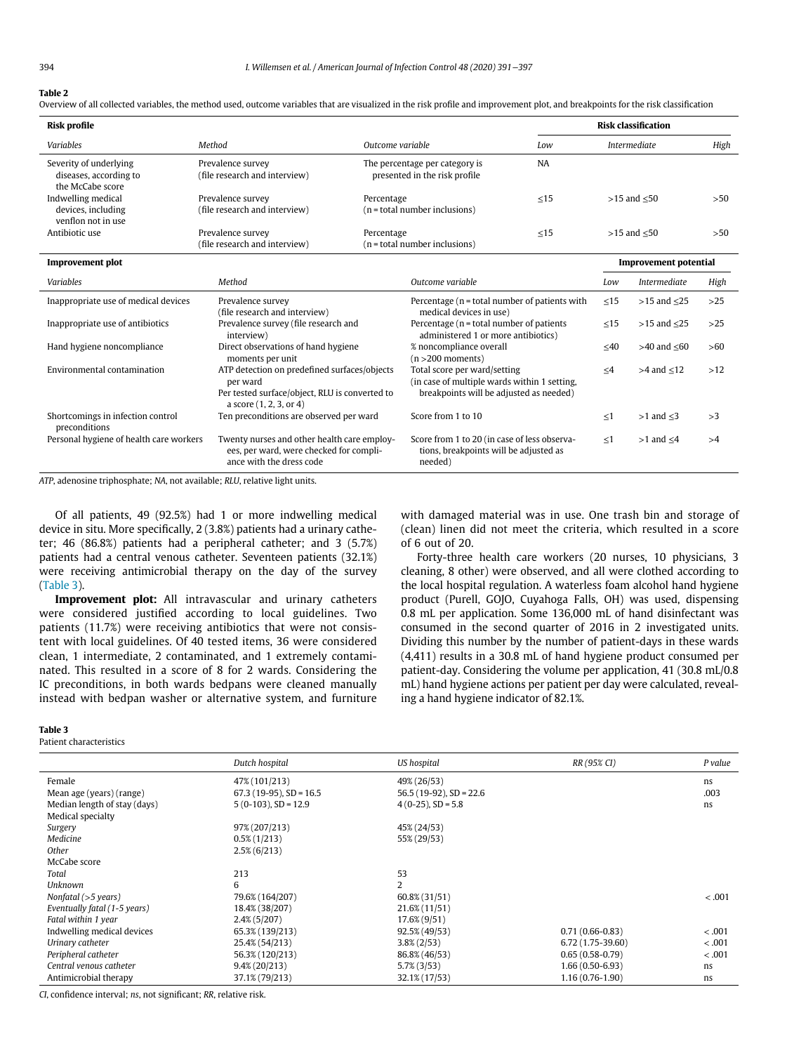#### <span id="page-3-0"></span>Table 2

Overview of all collected variables, the method used, outcome variables that are visualized in the risk profile and improvement plot, and breakpoints for the risk classification

| <b>Risk profile</b>                                                  |                                                                                                                                         |                  |                                                                                                                         |           |           | <b>Risk classification</b>        |       |
|----------------------------------------------------------------------|-----------------------------------------------------------------------------------------------------------------------------------------|------------------|-------------------------------------------------------------------------------------------------------------------------|-----------|-----------|-----------------------------------|-------|
| Variables                                                            | Method                                                                                                                                  | Outcome variable |                                                                                                                         | Low       |           | <i><u><b>Intermediate</b></u></i> | High  |
| Severity of underlying<br>diseases, according to<br>the McCabe score | Prevalence survey<br>(file research and interview)                                                                                      |                  | The percentage per category is<br>presented in the risk profile                                                         | <b>NA</b> |           |                                   |       |
| Indwelling medical<br>devices, including<br>venflon not in use       | Prevalence survey<br>(file research and interview)                                                                                      | Percentage       | (n = total number inclusions)                                                                                           | <15       |           | $>15$ and $< 50$                  | >50   |
| Antibiotic use                                                       | Prevalence survey<br>(file research and interview)                                                                                      | Percentage       | (n = total number inclusions)                                                                                           | $\leq 15$ |           | $>15$ and $\leq 50$               | >50   |
| <b>Improvement plot</b>                                              |                                                                                                                                         |                  |                                                                                                                         |           |           | <b>Improvement potential</b>      |       |
| Variables                                                            | Method                                                                                                                                  |                  | Outcome variable                                                                                                        |           | Low       | Intermediate                      | High  |
| Inappropriate use of medical devices                                 | Prevalence survey<br>(file research and interview)                                                                                      |                  | Percentage (n = total number of patients with<br>medical devices in use)                                                |           | $\leq$ 15 | $>15$ and $<25$                   | $>25$ |
| Inappropriate use of antibiotics                                     | Prevalence survey (file research and<br>interview)                                                                                      |                  | Percentage ( $n = total$ number of patients<br>administered 1 or more antibiotics)                                      |           | <15       | $>15$ and $<25$                   | $>25$ |
| Hand hygiene noncompliance                                           | Direct observations of hand hygiene<br>moments per unit                                                                                 |                  | % noncompliance overall<br>$(n > 200$ moments)                                                                          |           | $\leq 40$ | $>40$ and $\leq 60$               | >60   |
| Environmental contamination                                          | ATP detection on predefined surfaces/objects<br>per ward<br>Per tested surface/object, RLU is converted to<br>a score $(1, 2, 3, 0r 4)$ |                  | Total score per ward/setting<br>(in case of multiple wards within 1 setting,<br>breakpoints will be adjusted as needed) |           | $\leq 4$  | $>4$ and $<12$                    | >12   |
| Shortcomings in infection control<br>preconditions                   | Ten preconditions are observed per ward                                                                                                 |                  | Score from 1 to 10                                                                                                      |           | $\leq$ 1  | $>1$ and $<$ 3                    | >3    |
| Personal hygiene of health care workers                              | Twenty nurses and other health care employ-<br>ees, per ward, were checked for compli-<br>ance with the dress code                      |                  | Score from 1 to 20 (in case of less observa-<br>tions, breakpoints will be adjusted as<br>needed)                       |           | <1        | $>1$ and $<$ 4                    | >4    |

ATP, adenosine triphosphate; NA, not available; RLU, relative light units.

Of all patients, 49 (92.5%) had 1 or more indwelling medical device in situ. More specifically, 2 (3.8%) patients had a urinary catheter; 46 (86.8%) patients had a peripheral catheter; and 3 (5.7%) patients had a central venous catheter. Seventeen patients (32.1%) were receiving antimicrobial therapy on the day of the survey [\(Table 3](#page-3-1)).

Improvement plot: All intravascular and urinary catheters were considered justified according to local guidelines. Two patients (11.7%) were receiving antibiotics that were not consistent with local guidelines. Of 40 tested items, 36 were considered clean, 1 intermediate, 2 contaminated, and 1 extremely contaminated. This resulted in a score of 8 for 2 wards. Considering the IC preconditions, in both wards bedpans were cleaned manually instead with bedpan washer or alternative system, and furniture

#### <span id="page-3-1"></span>Table 3

Patient characteristics

with damaged material was in use. One trash bin and storage of (clean) linen did not meet the criteria, which resulted in a score of 6 out of 20.

Forty-three health care workers (20 nurses, 10 physicians, 3 cleaning, 8 other) were observed, and all were clothed according to the local hospital regulation. A waterless foam alcohol hand hygiene product (Purell, GOJO, Cuyahoga Falls, OH) was used, dispensing 0.8 mL per application. Some 136,000 mL of hand disinfectant was consumed in the second quarter of 2016 in 2 investigated units. Dividing this number by the number of patient-days in these wards (4,411) results in a 30.8 mL of hand hygiene product consumed per patient-day. Considering the volume per application, 41 (30.8 mL/0.8 mL) hand hygiene actions per patient per day were calculated, revealing a hand hygiene indicator of 82.1%.

|                              | Dutch hospital            | US hospital               | RR (95% CI)         | P value |
|------------------------------|---------------------------|---------------------------|---------------------|---------|
| Female                       | 47% (101/213)             | 49% (26/53)               |                     | ns      |
| Mean age (years) (range)     | $67.3$ (19-95), SD = 16.5 | $56.5(19-92)$ , SD = 22.6 |                     | .003    |
| Median length of stay (days) | $5(0-103)$ , SD = 12.9    | $4(0-25)$ , SD = 5.8      |                     | ns      |
| Medical specialty            |                           |                           |                     |         |
| Surgery                      | 97% (207/213)             | 45% (24/53)               |                     |         |
| Medicine                     | $0.5\%$ (1/213)           | 55% (29/53)               |                     |         |
| Other                        | $2.5\%$ (6/213)           |                           |                     |         |
| McCabe score                 |                           |                           |                     |         |
| Total                        | 213                       | 53                        |                     |         |
| <b>Unknown</b>               | 6                         | $\overline{2}$            |                     |         |
| Nonfatal $(>5$ years)        | 79.6% (164/207)           | 60.8% (31/51)             |                     | $-.001$ |
| Eventually fatal (1-5 years) | 18.4% (38/207)            | 21.6% (11/51)             |                     |         |
| Fatal within 1 year          | $2.4\%$ (5/207)           | 17.6% (9/51)              |                     |         |
| Indwelling medical devices   | 65.3% (139/213)           | 92.5% (49/53)             | $0.71(0.66 - 0.83)$ | $-.001$ |
| Urinary catheter             | 25.4% (54/213)            | $3.8\% (2/53)$            | $6.72(1.75-39.60)$  | < .001  |
| Peripheral catheter          | 56.3% (120/213)           | 86.8% (46/53)             | $0.65(0.58-0.79)$   | $-.001$ |
| Central venous catheter      | $9.4\% (20/213)$          | 5.7% (3/53)               | $1.66(0.50-6.93)$   | ns      |
| Antimicrobial therapy        | 37.1% (79/213)            | 32.1% (17/53)             | $1.16(0.76-1.90)$   | ns      |

CI, confidence interval; ns, not significant; RR, relative risk.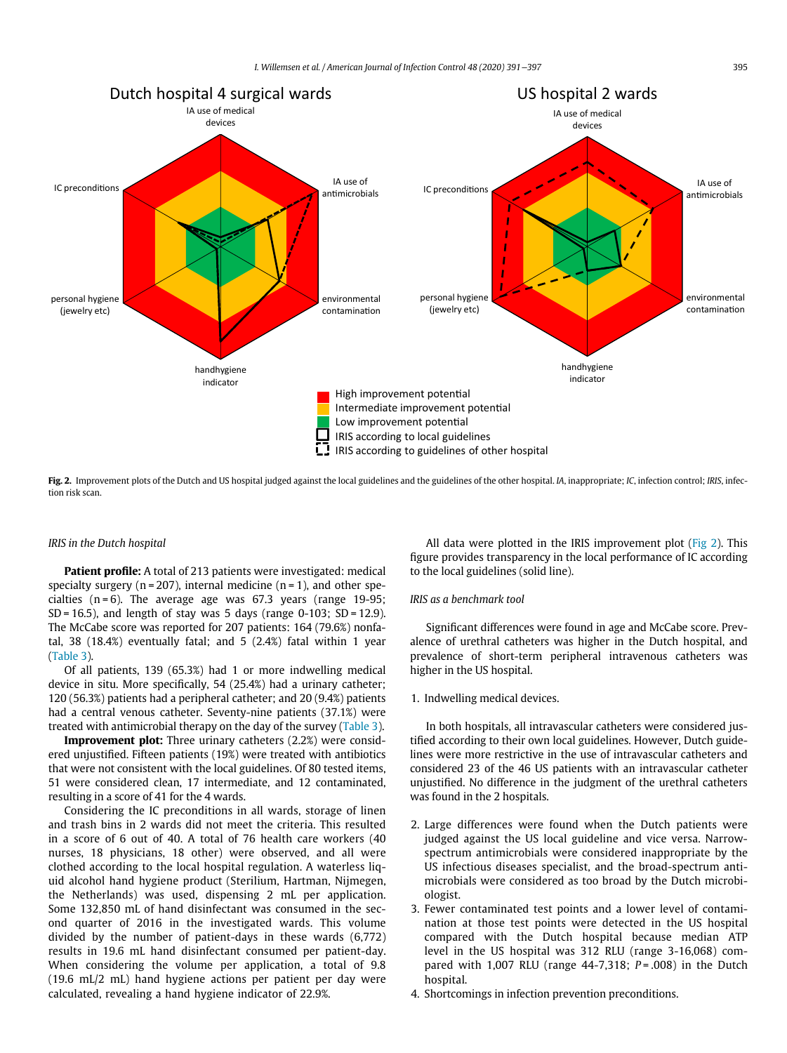<span id="page-4-0"></span>

Fig. 2. Improvement plots of the Dutch and US hospital judged against the local guidelines and the guidelines of the other hospital. IA, inappropriate; IC, infection control; IRIS, infection risk scan.

### IRIS in the Dutch hospital

Patient profile: A total of 213 patients were investigated: medical specialty surgery ( $n = 207$ ), internal medicine ( $n = 1$ ), and other specialties  $(n = 6)$ . The average age was 67.3 years (range 19-95; SD = 16.5), and length of stay was 5 days (range 0-103; SD = 12.9). The McCabe score was reported for 207 patients: 164 (79.6%) nonfatal, 38 (18.4%) eventually fatal; and 5 (2.4%) fatal within 1 year ([Table 3\)](#page-3-1).

Of all patients, 139 (65.3%) had 1 or more indwelling medical device in situ. More specifically, 54 (25.4%) had a urinary catheter; 120 (56.3%) patients had a peripheral catheter; and 20 (9.4%) patients had a central venous catheter. Seventy-nine patients (37.1%) were treated with antimicrobial therapy on the day of the survey [\(Table 3](#page-3-1)).

Improvement plot: Three urinary catheters (2.2%) were considered unjustified. Fifteen patients (19%) were treated with antibiotics that were not consistent with the local guidelines. Of 80 tested items, 51 were considered clean, 17 intermediate, and 12 contaminated, resulting in a score of 41 for the 4 wards.

Considering the IC preconditions in all wards, storage of linen and trash bins in 2 wards did not meet the criteria. This resulted in a score of 6 out of 40. A total of 76 health care workers (40 nurses, 18 physicians, 18 other) were observed, and all were clothed according to the local hospital regulation. A waterless liquid alcohol hand hygiene product (Sterilium, Hartman, Nijmegen, the Netherlands) was used, dispensing 2 mL per application. Some 132,850 mL of hand disinfectant was consumed in the second quarter of 2016 in the investigated wards. This volume divided by the number of patient-days in these wards (6,772) results in 19.6 mL hand disinfectant consumed per patient-day. When considering the volume per application, a total of 9.8 (19.6 mL/2 mL) hand hygiene actions per patient per day were calculated, revealing a hand hygiene indicator of 22.9%.

All data were plotted in the IRIS improvement plot  $(Fig 2)$  $(Fig 2)$  $(Fig 2)$ . This figure provides transparency in the local performance of IC according to the local guidelines (solid line).

#### IRIS as a benchmark tool

Significant differences were found in age and McCabe score. Prevalence of urethral catheters was higher in the Dutch hospital, and prevalence of short-term peripheral intravenous catheters was higher in the US hospital.

#### 1. Indwelling medical devices.

In both hospitals, all intravascular catheters were considered justified according to their own local guidelines. However, Dutch guidelines were more restrictive in the use of intravascular catheters and considered 23 of the 46 US patients with an intravascular catheter unjustified. No difference in the judgment of the urethral catheters was found in the 2 hospitals.

- 2. Large differences were found when the Dutch patients were judged against the US local guideline and vice versa. Narrowspectrum antimicrobials were considered inappropriate by the US infectious diseases specialist, and the broad-spectrum antimicrobials were considered as too broad by the Dutch microbiologist.
- 3. Fewer contaminated test points and a lower level of contamination at those test points were detected in the US hospital compared with the Dutch hospital because median ATP level in the US hospital was 312 RLU (range 3-16,068) compared with 1,007 RLU (range  $44-7,318$ ;  $P = .008$ ) in the Dutch hospital.
- 4. Shortcomings in infection prevention preconditions.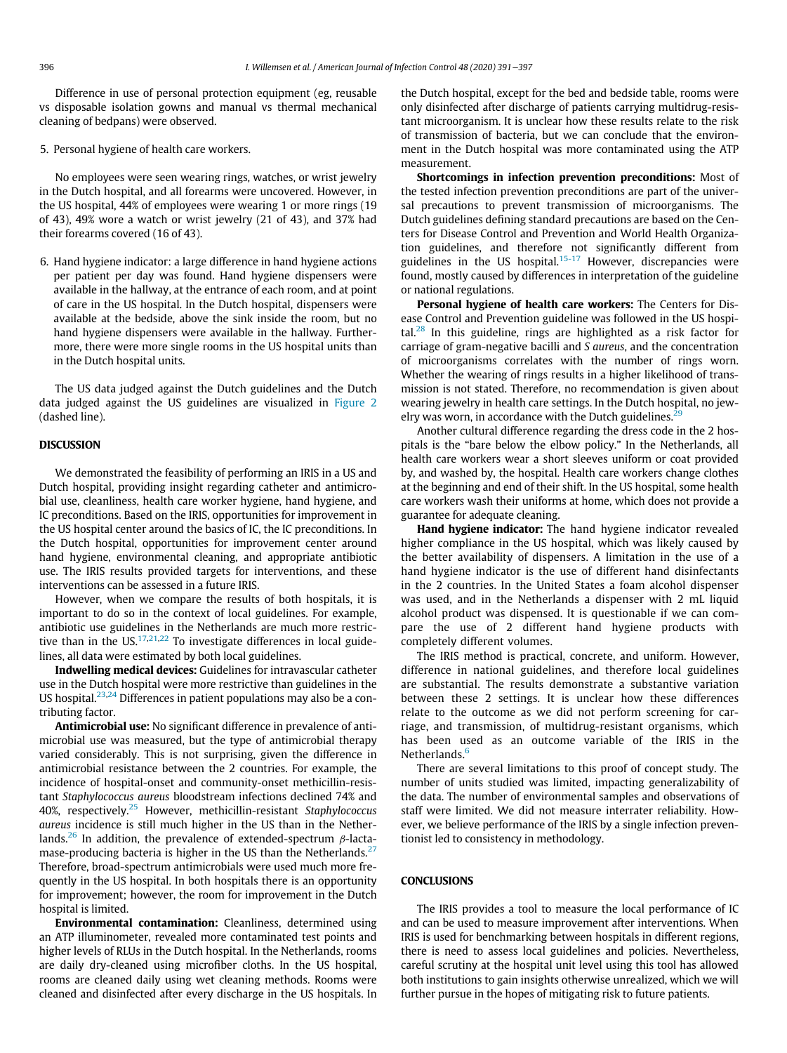Difference in use of personal protection equipment (eg, reusable vs disposable isolation gowns and manual vs thermal mechanical cleaning of bedpans) were observed.

5. Personal hygiene of health care workers.

No employees were seen wearing rings, watches, or wrist jewelry in the Dutch hospital, and all forearms were uncovered. However, in the US hospital, 44% of employees were wearing 1 or more rings (19 of 43), 49% wore a watch or wrist jewelry (21 of 43), and 37% had their forearms covered (16 of 43).

6. Hand hygiene indicator: a large difference in hand hygiene actions per patient per day was found. Hand hygiene dispensers were available in the hallway, at the entrance of each room, and at point of care in the US hospital. In the Dutch hospital, dispensers were available at the bedside, above the sink inside the room, but no hand hygiene dispensers were available in the hallway. Furthermore, there were more single rooms in the US hospital units than in the Dutch hospital units.

The US data judged against the Dutch guidelines and the Dutch data judged against the US guidelines are visualized in [Figure 2](#page-4-0) (dashed line).

## DISCUSSION

We demonstrated the feasibility of performing an IRIS in a US and Dutch hospital, providing insight regarding catheter and antimicrobial use, cleanliness, health care worker hygiene, hand hygiene, and IC preconditions. Based on the IRIS, opportunities for improvement in the US hospital center around the basics of IC, the IC preconditions. In the Dutch hospital, opportunities for improvement center around hand hygiene, environmental cleaning, and appropriate antibiotic use. The IRIS results provided targets for interventions, and these interventions can be assessed in a future IRIS.

However, when we compare the results of both hospitals, it is important to do so in the context of local guidelines. For example, antibiotic use guidelines in the Netherlands are much more restrictive than in the US. $17,21,22$  $17,21,22$  $17,21,22$  $17,21,22$  $17,21,22$  To investigate differences in local guidelines, all data were estimated by both local guidelines.

Indwelling medical devices: Guidelines for intravascular catheter use in the Dutch hospital were more restrictive than guidelines in the US hospital. $23,24$  $23,24$  Differences in patient populations may also be a contributing factor.

Antimicrobial use: No significant difference in prevalence of antimicrobial use was measured, but the type of antimicrobial therapy varied considerably. This is not surprising, given the difference in antimicrobial resistance between the 2 countries. For example, the incidence of hospital-onset and community-onset methicillin-resistant Staphylococcus aureus bloodstream infections declined 74% and 40%, respectively.<sup>[25](#page-6-20)</sup> However, methicillin-resistant Staphylococcus aureus incidence is still much higher in the US than in the Nether-lands.<sup>[26](#page-6-21)</sup> In addition, the prevalence of extended-spectrum  $\beta$ -lactamase-producing bacteria is higher in the US than the Netherlands. $27$ Therefore, broad-spectrum antimicrobials were used much more frequently in the US hospital. In both hospitals there is an opportunity for improvement; however, the room for improvement in the Dutch hospital is limited.

Environmental contamination: Cleanliness, determined using an ATP illuminometer, revealed more contaminated test points and higher levels of RLUs in the Dutch hospital. In the Netherlands, rooms are daily dry-cleaned using microfiber cloths. In the US hospital, rooms are cleaned daily using wet cleaning methods. Rooms were cleaned and disinfected after every discharge in the US hospitals. In

the Dutch hospital, except for the bed and bedside table, rooms were only disinfected after discharge of patients carrying multidrug-resistant microorganism. It is unclear how these results relate to the risk of transmission of bacteria, but we can conclude that the environment in the Dutch hospital was more contaminated using the ATP measurement.

Shortcomings in infection prevention preconditions: Most of the tested infection prevention preconditions are part of the universal precautions to prevent transmission of microorganisms. The Dutch guidelines defining standard precautions are based on the Centers for Disease Control and Prevention and World Health Organization guidelines, and therefore not significantly different from guidelines in the US hospital. $15-17$  However, discrepancies were found, mostly caused by differences in interpretation of the guideline or national regulations.

Personal hygiene of health care workers: The Centers for Disease Control and Prevention guideline was followed in the US hospi- $tal.^{28}$  $tal.^{28}$  $tal.^{28}$  In this guideline, rings are highlighted as a risk factor for carriage of gram-negative bacilli and S aureus, and the concentration of microorganisms correlates with the number of rings worn. Whether the wearing of rings results in a higher likelihood of transmission is not stated. Therefore, no recommendation is given about wearing jewelry in health care settings. In the Dutch hospital, no jewelry was worn, in accordance with the Dutch guidelines. $2<sup>2</sup>$ 

Another cultural difference regarding the dress code in the 2 hospitals is the "bare below the elbow policy." In the Netherlands, all health care workers wear a short sleeves uniform or coat provided by, and washed by, the hospital. Health care workers change clothes at the beginning and end of their shift. In the US hospital, some health care workers wash their uniforms at home, which does not provide a guarantee for adequate cleaning.

Hand hygiene indicator: The hand hygiene indicator revealed higher compliance in the US hospital, which was likely caused by the better availability of dispensers. A limitation in the use of a hand hygiene indicator is the use of different hand disinfectants in the 2 countries. In the United States a foam alcohol dispenser was used, and in the Netherlands a dispenser with 2 mL liquid alcohol product was dispensed. It is questionable if we can compare the use of 2 different hand hygiene products with completely different volumes.

The IRIS method is practical, concrete, and uniform. However, difference in national guidelines, and therefore local guidelines are substantial. The results demonstrate a substantive variation between these 2 settings. It is unclear how these differences relate to the outcome as we did not perform screening for carriage, and transmission, of multidrug-resistant organisms, which has been used as an outcome variable of the IRIS in the Netherlands.<sup>[6](#page-6-5)</sup>

There are several limitations to this proof of concept study. The number of units studied was limited, impacting generalizability of the data. The number of environmental samples and observations of staff were limited. We did not measure interrater reliability. However, we believe performance of the IRIS by a single infection preventionist led to consistency in methodology.

#### **CONCLUSIONS**

The IRIS provides a tool to measure the local performance of IC and can be used to measure improvement after interventions. When IRIS is used for benchmarking between hospitals in different regions, there is need to assess local guidelines and policies. Nevertheless, careful scrutiny at the hospital unit level using this tool has allowed both institutions to gain insights otherwise unrealized, which we will further pursue in the hopes of mitigating risk to future patients.